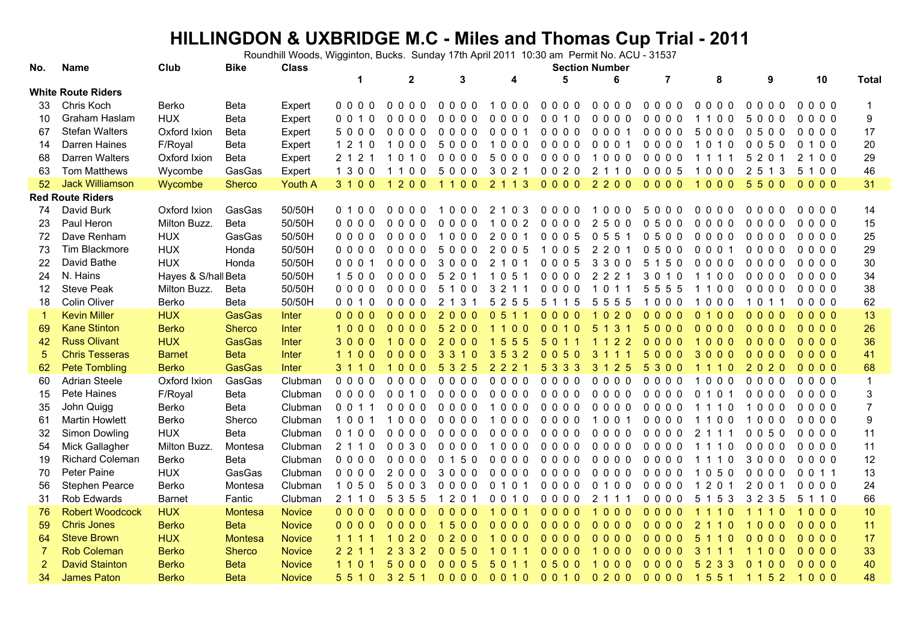## **HILLINGDON & UXBRIDGE M.C - Miles and Thomas Cup Trial - 2011**

Roundhill Woods, Wigginton, Bucks. Sunday 17th April 2011 10:30 am Permit No. ACU - 31537

| No.            | Name                      | Club                | <b>Bike</b>    | <b>Class</b>   | <b>Section Number</b>       |                                                      |                                               |                                                          |                                              |                                      |                                                |                                                |                                                     |                 |                  |
|----------------|---------------------------|---------------------|----------------|----------------|-----------------------------|------------------------------------------------------|-----------------------------------------------|----------------------------------------------------------|----------------------------------------------|--------------------------------------|------------------------------------------------|------------------------------------------------|-----------------------------------------------------|-----------------|------------------|
|                |                           |                     |                |                | $\blacktriangleleft$        | $\mathbf 2$                                          | 3                                             | 4                                                        | 5                                            | 6                                    | 7                                              | 8                                              | 9                                                   | 10              | <b>Total</b>     |
|                | <b>White Route Riders</b> |                     |                |                |                             |                                                      |                                               |                                                          |                                              |                                      |                                                |                                                |                                                     |                 |                  |
| 33             | Chris Koch                | Berko               | Beta           | Expert         | $0000$                      | 0000                                                 | 0 <sub>0</sub><br>$\Omega$                    | 000                                                      | $0000$                                       | $0000$                               | 0,0,0,0                                        | 000<br>$\Omega$                                | $\Omega$<br>0 O<br>$\Omega$                         | $0000$          |                  |
| 10             | Graham Haslam             | <b>HUX</b>          | Beta           | Expert         | 1 0<br>0 <sub>0</sub>       | 0 <sub>0</sub><br>0<br>$\Omega$                      | $\Omega$<br>0 <sub>0</sub><br>$\Omega$        | $\Omega$<br>0 <sub>0</sub><br>0                          | $\Omega$<br>$\Omega$<br>10                   | $\Omega$<br>0 <sub>0</sub>           | $\mathbf{0}$<br>$\mathbf{0}$<br>0 <sub>0</sub> | $\Omega$<br>- 0                                | 5<br>$\overline{0}$<br>$\Omega$<br>$\Omega$         | 000<br>$\Omega$ | $\boldsymbol{9}$ |
| 67             | <b>Stefan Walters</b>     | Oxford Ixion        | Beta           | Expert         | 5000                        | 0000                                                 | $0000$                                        | 0001                                                     | $0000$                                       | 0001                                 | 0000                                           | 5000                                           | 0500                                                | 0000            | 17               |
| 14             | Darren Haines             | F/Royal             | Beta           | Expert         | 1 2 1 0                     | 1000                                                 | 5000                                          | $0\ 0\ 0$<br>$\overline{1}$                              | $0000$                                       | 000<br>$\overline{\mathbf{1}}$       | $0000$                                         | 1 0 1 0                                        | 0050                                                | 0 1 0 0         | 20               |
| 68             | Darren Walters            | Oxford Ixion        | Beta           | Expert         | 2 1 2 1                     | 1010                                                 | $0000$                                        | 5000                                                     | $0000$                                       | 000<br>-1                            | $0000$                                         | 1 1 1<br>1                                     | 5 2 0                                               | 2 1 0 0         | 29               |
| 63             | Tom Matthews              | Wycombe             | GasGas         | Expert         | 1 3 0 0                     | 110<br>$\Omega$                                      | 5000                                          | 3 0 2                                                    | 0020                                         | 2<br>110                             | 0005                                           | $0\;0\;0$                                      | $\overline{2}$<br>1 <sub>3</sub><br>5               | 5 1 0 0         | 46               |
| 52             | <b>Jack Williamson</b>    | Wycombe             | <b>Sherco</b>  | <b>Youth A</b> | 3 1 0 0                     | 1 2 0 0                                              | 100                                           | $\overline{2}$<br>1 <sub>3</sub>                         | $0000$                                       | 2200                                 | $0000$                                         | 1000                                           | 5500                                                | $0000$          | 31               |
|                | <b>Red Route Riders</b>   |                     |                |                |                             |                                                      |                                               |                                                          |                                              |                                      |                                                |                                                |                                                     |                 |                  |
| 74             | David Burk                | Oxford Ixion        | GasGas         | 50/50H         | 0100                        | <sup>0</sup><br>$\Omega$<br>$\Omega$<br>- 0          | $\Omega$<br>$\Omega$<br>$\Omega$              | $\mathcal{P}$<br>$\Omega$<br>3                           | $\Omega$<br>$\Omega$<br>$\Omega$<br>$\Omega$ | $\Omega$<br>$\Omega$<br>$\Omega$     | 5<br>$\Omega$<br>$\Omega$<br>$\Omega$          | $\Omega$<br>n n<br>- 0                         | $\Omega$<br>$\Omega$<br>$\Omega$<br>$\Omega$        | 000<br>$\Omega$ | 14               |
| 23             | Paul Heron                | Milton Buzz.        | <b>Beta</b>    | 50/50H         | 0000                        | 0 <sub>0</sub><br>$\Omega$<br>$\Omega$               | 0 <sub>0</sub><br>$\Omega$<br>$\overline{0}$  | 0 <sub>2</sub><br>-1<br>$\Omega$                         | $0000$                                       | 2<br>500                             | $\Omega$<br>500                                | $\Omega$<br>000                                | $\Omega$<br>$\overline{0}$<br>0 <sub>0</sub>        | $0000$          | 15               |
| 72             | Dave Renham               | <b>HUX</b>          | GasGas         | 50/50H         | $0000$                      | 0000                                                 | 000<br>$\overline{1}$                         | 2 0 0 1                                                  | 0005                                         | 0551                                 | 0500                                           | $0000$                                         | 0000                                                | 0000            | 25               |
| 73             | Tim Blackmore             | <b>HUX</b>          | Honda          | 50/50H         | 0000                        | $0000$                                               | 5000                                          | 2005                                                     | 1005                                         | 2 2 0 1                              | 0500                                           | 0001                                           | $0000$                                              | $0000$          | 29               |
| 22             | David Bathe               | <b>HUX</b>          | Honda          | 50/50H         | 000                         | 0000                                                 | 3000                                          | 2<br>10                                                  | 0005                                         | 3 3 0 0                              | 5 1 5 0                                        | $0000$                                         | $0000$                                              | $0000$          | 30               |
| 24             | N. Hains                  | Hayes & S/hall Beta |                | 50/50H         | 1500                        | 0000                                                 | 20<br>5                                       | 5 <sub>1</sub><br>$\mathbf 1$<br>- 0                     | 0000                                         | 2 2 2<br>$\overline{1}$              | 30<br>10                                       | 1100                                           | $0000$                                              | 0000            | 34               |
| 12             | <b>Steve Peak</b>         | Milton Buzz.        | Beta           | 50/50H         | 0000                        | $0000$                                               | 5<br>100                                      | $\overline{2}$<br>3                                      | $0000$                                       | $\mathbf{0}$                         | 5<br>555                                       | 0 <sub>0</sub>                                 | 0000                                                | $0000$          | 38               |
| 18             | Colin Oliver              | Berko               | <b>Beta</b>    | 50/50H         | 0 0 1 0                     | 0000                                                 | 3                                             | $\overline{2}$<br>5<br>5<br>5                            | 5<br>5<br>$\mathbf{1}$                       | 5<br>5<br>55                         | 000                                            | 00<br>$\Omega$                                 | 10                                                  | 0000            | 62               |
| -1             | <b>Kevin Miller</b>       | <b>HUX</b>          | GasGas         | Inter          | 0000                        | 0 <sub>0</sub><br>0 <sub>0</sub>                     | 2<br>$\mathbf{0}$<br>0 <sub>0</sub>           | $\mathbf{0}$<br>5<br>$\blacktriangleleft$                | $\Omega$<br>$\Omega$<br>0 <sub>0</sub>       | 2 <sub>0</sub><br>$\mathbf{0}$<br>-1 | $\Omega$<br>0 <sub>0</sub><br>$\Omega$         | $\mathbf{0}$<br>$\overline{0}$<br>$\mathbf{0}$ | $\mathbf{0}$<br>$\mathbf{0}$<br>$\mathbf{0}$<br>- 0 | $0000$          | 13               |
| 69             | <b>Kane Stinton</b>       | <b>Berko</b>        | <b>Sherco</b>  | Inter          | 1000                        | 0 <sub>0</sub><br>0 <sub>0</sub>                     | $200$<br>5                                    | $\blacktriangleleft$<br>0 <sub>0</sub><br>$\overline{1}$ | $\Omega$<br>$\Omega$<br>$1\,0$               | 5<br>3<br>-1<br>-1                   | 5<br>0 <sub>0</sub>                            | $0000$                                         | 0 <sub>0</sub><br>$\overline{0}$                    | $0000$          | 26               |
| 42             | <b>Russ Olivant</b>       | <b>HUX</b>          | GasGas         | Inter          | 3000                        | 000                                                  | 2000                                          | 55<br>5<br>-1                                            | 5<br>$\Omega$                                | $\overline{2}$<br>$\overline{2}$     | 0000                                           | $\blacktriangleleft$<br>$000$                  | $0000$                                              | 0000            | 36               |
| 5              | <b>Chris Tesseras</b>     | <b>Barnet</b>       | <b>Beta</b>    | Inter          | 1100                        | 0000                                                 | 33<br>$\Omega$                                | 3 5 3 2                                                  | 0050                                         | 3<br>$\mathbf{1}$                    | 5000                                           | 3000                                           | 0000                                                | $0000$          | 41               |
| 62             | <b>Pete Tombling</b>      | <b>Berko</b>        | <b>GasGas</b>  | <b>Inter</b>   | 3 1 1                       | 000                                                  | 5 3 2 5                                       | 2<br>$\overline{2}$<br>2                                 | 5 3 3 3                                      | 2 5<br>3 <sub>1</sub>                | 5 3 0 0                                        | $\Omega$                                       | 202<br>$\Omega$                                     | $0000$          | 68               |
| 60             | <b>Adrian Steele</b>      | Oxford Ixion        | GasGas         | Clubman        | $0000$                      | 0000                                                 | 0<br>000                                      | 0000                                                     | 0000                                         | $0000$                               | 0000                                           | $\overline{0}$<br>0 <sub>0</sub>               | 000<br>0                                            | 0000            | $\mathbf{1}$     |
| 15             | Pete Haines               | F/Royal             | Beta           | Clubman        | 0000                        | 10<br>0 <sub>0</sub>                                 | $0000$                                        | $0000$                                                   | $0000$                                       | $0000$                               | $0000$                                         | $\Omega$<br>$\overline{0}$                     | 0000                                                | $0000$          | $\mathbf{3}$     |
| 35             | John Quigg                | Berko               | Beta           | Clubman        | 0 0 1                       | 0000                                                 | $0000$                                        | 000<br>-1                                                | $0000$                                       | $0000$                               | 0000                                           | 0                                              | $\Omega$<br>$\Omega$<br>10                          | 0000            | $\overline{7}$   |
| 61             | <b>Martin Howlett</b>     | Berko               | Sherco         | Clubman        | 100                         | $\Omega$<br>0 <sub>0</sub><br>-1                     | $\Omega$<br>0<br>$\mathbf{0}$<br>$\mathbf{0}$ | 000<br>-1                                                | $\mathbf{0}$<br>$000$                        | $\mathbf 0$<br>0 <sub>1</sub><br>1   | $\Omega$<br>000                                | $\mathbf 0$<br>0                               | 0<br>0<br>0                                         | $\Omega$<br>000 | 9                |
| 32             | Simon Dowling             | <b>HUX</b>          | Beta           | Clubman        | 0100                        | 0 <sub>0</sub><br>$\Omega$<br>$\Omega$               | $\Omega$<br>$\Omega$<br>0 <sub>0</sub>        | 000<br>$\Omega$                                          | $0000$                                       | $0000$                               | $0000$                                         | 2<br>11                                        | 50<br>$\mathbf{0}$<br>$\mathbf{0}$                  | $0000$          | 11               |
| 54             | Mick Gallagher            | Milton Buzz.        | Montesa        | Clubman        | 2 1 1 0                     | 0030                                                 | 0000                                          | 1000                                                     | 0000                                         | 0000                                 | 0000                                           | 1 <sub>0</sub><br>$\mathbf{1}$                 | 0000                                                | 0000            | 11               |
| 19             | <b>Richard Coleman</b>    | Berko               | Beta           | Clubman        | 0000                        | $0000$                                               | 0150                                          | $0000$                                                   | 0000                                         | $0000$                               | $0000$                                         | $\overline{0}$<br>1 1 1                        | 3000                                                | $0000$          | 12               |
| 70             | Peter Paine               | <b>HUX</b>          | GasGas         | Clubman        | 0000                        | 2000                                                 | 3000                                          | $0000$                                                   | $0000$                                       | $0000$                               | $0000$                                         | 1050                                           | 0000                                                | 0 0 1 1         | 13               |
| 56             | Stephen Pearce            | Berko               | Montesa        | Clubman        | 1 0 5 0                     | -3<br>500                                            | 000<br>0                                      | 1 0 1<br>$\mathbf{0}$                                    | $0000$                                       | 0 1 0 0                              | $0000$                                         | $120$                                          | 2 0 0 1                                             | 0000            | 24               |
| 31             | Rob Edwards               | <b>Barnet</b>       | Fantic         | Clubman        | 2 1 1 0                     | 3 5 5<br>5                                           | 20                                            | 0 <sub>0</sub><br>10                                     | $0000$                                       | 2                                    | $0000$                                         | -3<br>5<br>5                                   | 3 2 3 5                                             | 5 1 1 0         | 66               |
| 76             | <b>Robert Woodcock</b>    | <b>HUX</b>          | <b>Montesa</b> | <b>Novice</b>  | 0000                        | $0000$                                               | 0000                                          | 1001                                                     | $0000$                                       | 000                                  | $0000$                                         | $\mathbf 0$                                    |                                                     | 1000            | 10               |
| 59             | <b>Chris Jones</b>        | <b>Berko</b>        | <b>Beta</b>    | <b>Novice</b>  | $0000$                      | $0000$                                               | 5<br>$\overline{0}$<br>$\overline{0}$         | $0000$                                                   | $0000$                                       | 0 <sub>0</sub><br>0 <sub>0</sub>     | $\Omega$<br>000                                | $\overline{2}$<br>$\mathbf 0$                  | $\overline{0}$<br>$\mathbf{0}$<br>$\overline{0}$    | $0000$          | 11               |
| 64             | <b>Steve Brown</b>        | <b>HUX</b>          | <b>Montesa</b> | <b>Novice</b>  | 1 1 1 1                     | <sup>2</sup><br>$\Omega$<br>$\Omega$<br>$\mathbf{1}$ | 200<br>$\Omega$                               | -1<br>000                                                | $0000$                                       | $0000$                               | $\Omega$<br>000                                | 5<br>$\overline{0}$<br>$\blacktriangleleft$    | $\Omega$<br>$\overline{0}$<br>0 <sub>0</sub>        | $0000$          | 17               |
| $\overline{7}$ | <b>Rob Coleman</b>        | <b>Berko</b>        | <b>Sherco</b>  | <b>Novice</b>  | 2, 2, 1                     | 2 3 3 2                                              | 0050                                          | $\Omega$<br>$\blacktriangleleft$                         | $0000$                                       | 000                                  | $0000$                                         | 3<br>11                                        | $\mathbf{1}$<br>$\overline{0}$<br>$\overline{0}$    | $0000$          | 33               |
| $\overline{2}$ | <b>David Stainton</b>     | <b>Berko</b>        | <b>Beta</b>    | <b>Novice</b>  | 1 <sub>1</sub><br>$\bullet$ | 5000                                                 | 0.0.0.5                                       | 5.<br>$\Omega$<br>$\blacktriangleleft$                   | 0500                                         | 0 <sub>0</sub><br>-1                 | 0000                                           | 5 2 3 3                                        | 0, 1, 0, 0                                          | $0000$          | 40               |
| 34             | <b>James Paton</b>        | <b>Berko</b>        | <b>Beta</b>    | <b>Novice</b>  | 5 5 1 0                     | 3 2 5 1                                              | $0000$                                        | 0010                                                     | 0010                                         | 0200                                 | 0000                                           |                                                | 1551 1152                                           | 1000            | 48               |
|                |                           |                     |                |                |                             |                                                      |                                               |                                                          |                                              |                                      |                                                |                                                |                                                     |                 |                  |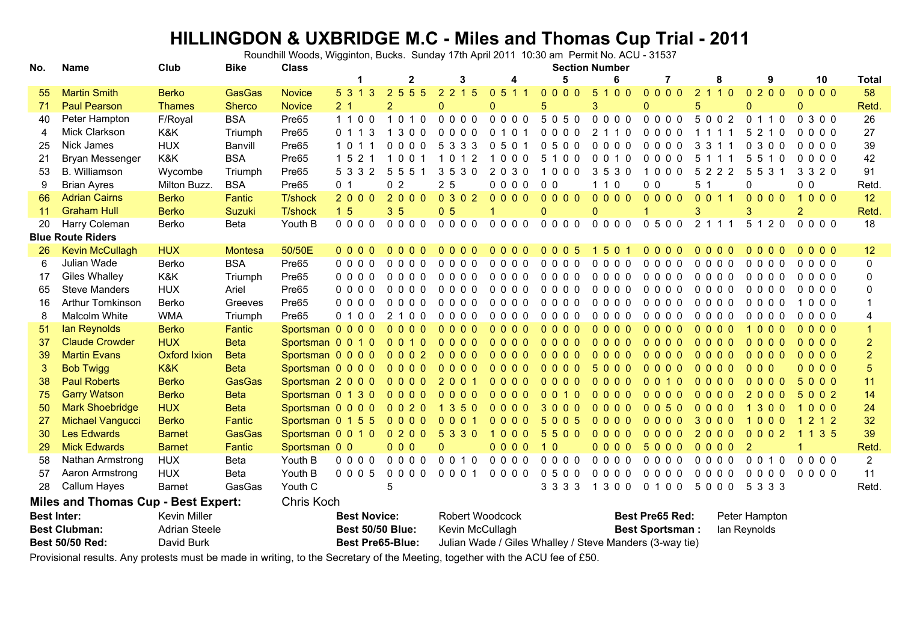## **HILLINGDON & UXBRIDGE M.C - Miles and Thomas Cup Trial - 2011**

Roundhill Woods, Wigginton, Bucks. Sunday 17th April 2011 10:30 am Permit No. ACU - 31537

| No.                                                      | <b>Name</b>             | Club                 | <b>Bike</b>   | <b>Class</b>              |                                   |                | <b>Section Number</b> |                                                           |                       |              |                                                         |                |                                             |                    |                |  |  |
|----------------------------------------------------------|-------------------------|----------------------|---------------|---------------------------|-----------------------------------|----------------|-----------------------|-----------------------------------------------------------|-----------------------|--------------|---------------------------------------------------------|----------------|---------------------------------------------|--------------------|----------------|--|--|
|                                                          |                         |                      |               |                           |                                   | 2              | 3                     | 4                                                         | 5                     | 6            |                                                         | 8              | 9                                           | 10                 | <b>Total</b>   |  |  |
| 55                                                       | <b>Martin Smith</b>     | <b>Berko</b>         | <b>GasGas</b> | <b>Novice</b>             | 5 3 1 3                           | 2 5 5 5        | 2 2 1 5               | 0511                                                      | 0000                  | 5100         | $0000$                                                  | 2110           | 0, 2, 0, 0                                  | 0000               | 58             |  |  |
| 71                                                       | <b>Paul Pearson</b>     | <b>Thames</b>        | <b>Sherco</b> | <b>Novice</b>             | 2 <sub>1</sub>                    | $\overline{2}$ | $\Omega$              | $\Omega$                                                  | 5                     | 3            | 0                                                       | 5              | $\Omega$                                    | $\Omega$           | Retd.          |  |  |
| 40                                                       | Peter Hampton           | F/Royal              | <b>BSA</b>    | Pre65                     | 1100                              | 1010           | 0000                  | 0000                                                      | 5050                  | 0000         | 0000                                                    | 5002           | 0 1 1 0                                     | 0300               | 26             |  |  |
| 4                                                        | Mick Clarkson           | K&K                  | Triumph       | Pre65                     | 0 1 1 3                           | 1 3 0 0        | 0000                  | 0 1 0 1                                                   | $0000$                | 2 1 1 0      | $0000$                                                  | 1 1 1 1        | 5 2 1 0                                     | 0000               | 27             |  |  |
| 25                                                       | Nick James              | <b>HUX</b>           | Banvill       | Pre65                     | 1 0 1 1                           | 0000           | 5 3 3 3               | 0501                                                      | 0500                  | 0000         | $0000$                                                  | 3 3 1 1        | 0300                                        | 0000               | 39             |  |  |
| 21                                                       | <b>Bryan Messenger</b>  | K&K                  | <b>BSA</b>    | Pre65                     | $1\overline{5}$<br>2 <sub>1</sub> | 1001           | 1012                  | 1000                                                      | 5100                  | 0010         | $0000$                                                  | 5 1 1 1        | 5510                                        | $0000$             | 42             |  |  |
| 53                                                       | <b>B.</b> Williamson    | Wycombe              | Triumph       | Pre65                     | 5 3 3 2                           | 5 5 5 1        | 3530                  | 2030                                                      | 1000                  | 3530         | 1000                                                    | 5 2 2 2        | 5 5 3 1                                     | 3 3 2 0            | 91             |  |  |
| 9                                                        | <b>Brian Ayres</b>      | Milton Buzz.         | <b>BSA</b>    | Pre65                     | 0 <sub>1</sub>                    | 0 <sub>2</sub> | 2 <sub>5</sub>        | 0000                                                      | 0 <sub>0</sub>        | 110          | 0 <sub>0</sub>                                          | 5 <sub>1</sub> | 0                                           | 0 <sub>0</sub>     | Retd.          |  |  |
| 66                                                       | <b>Adrian Cairns</b>    | <b>Berko</b>         | Fantic        | T/shock                   | 2000                              | 2000           | 0302                  | 0000                                                      | 0000                  | 0000         | 0000                                                    | 0 0 1 1        | 0000                                        | 1000               | 12             |  |  |
| 11                                                       | <b>Graham Hull</b>      | <b>Berko</b>         | Suzuki        | <b>T/shock</b>            | 1 <sub>5</sub>                    | 3 <sub>5</sub> | 0 <sub>5</sub>        | $\mathbf{1}$                                              | $\Omega$              | $\mathbf{0}$ | 1                                                       | 3              | 3                                           | $\overline{2}$     | Retd.          |  |  |
| 20                                                       | Harry Coleman           | Berko                | <b>Beta</b>   | Youth B                   | 0000                              | 0000           | 0000                  | 0000                                                      | 0000                  | 0000         | 0500                                                    | 2 1 1 1        | 5 1 2 0                                     | 0000               | 18             |  |  |
| <b>Blue Route Riders</b>                                 |                         |                      |               |                           |                                   |                |                       |                                                           |                       |              |                                                         |                |                                             |                    |                |  |  |
| 26                                                       | <b>Kevin McCullagh</b>  | <b>HUX</b>           | Montesa       | 50/50E                    | 0 <sub>0</sub><br>0 <sub>0</sub>  | $0000$         | 000<br>$\Omega$       | 0000                                                      | 0005                  | 50<br>-1     | $0\,0\,0\,0$                                            | 0000           | 0000                                        | 0000               | 12             |  |  |
| 6                                                        | Julian Wade             | Berko                | <b>BSA</b>    | Pre65                     | $0000$                            | $0000$         | $0000$                | $0000$                                                    | $0000$                | $0000$       | 0000                                                    | 0000           | $0000$                                      | 0000               | $\Omega$       |  |  |
| 17                                                       | <b>Giles Whalley</b>    | K&K                  | Triumph       | Pre65                     | 0 <sub>0</sub><br>0 <sub>0</sub>  | $0000$         | 0000                  | $0000$                                                    | 0000                  | $0000$       | 0000                                                    | 0000           | $0000$                                      | 0000               | 0              |  |  |
| 65                                                       | <b>Steve Manders</b>    | <b>HUX</b>           | Ariel         | Pre65                     | 0 <sub>0</sub><br>0 <sub>0</sub>  | $0000$         | 0000                  | $0000$                                                    | $0000$                | $0000$       | 0000                                                    | 0000           | $0000$                                      | 0000               | O              |  |  |
| 16                                                       | <b>Arthur Tomkinson</b> | Berko                | Greeves       | Pre65                     | 0 <sub>0</sub><br>0 <sub>0</sub>  | 0000           | $0000$                | $0000$                                                    | $0000$                | 0000         | $0000$                                                  | 0000           | $0000$                                      | 000<br>$\mathbf 1$ |                |  |  |
| 8                                                        | Malcolm White           | <b>WMA</b>           | Triumph       | Pre65                     | 0 <sub>0</sub><br>0 <sub>1</sub>  | 2 1 0 0        | 0000                  | 0000                                                      | $0000$                | 0000         | 0000                                                    | $0000$         | 0000                                        | 0000               |                |  |  |
| 51                                                       | lan Reynolds            | <b>Berko</b>         | Fantic        | Sportsman 0 0 0 0         |                                   | $0000$         | 0000                  | $0000$                                                    | 0000                  | 0000         | 0000                                                    | 0000           | 000<br>-1                                   | 0000               |                |  |  |
| 37                                                       | <b>Claude Crowder</b>   | <b>HUX</b>           | <b>Beta</b>   | Sportsman 0 0 1 0         |                                   | 0010           | $\mathbf{0}$<br>000   | $0000$                                                    | 0000                  | $0000$       | 0000                                                    | 0000           | $0000$                                      | 0000               | $\overline{2}$ |  |  |
| 39                                                       | <b>Martin Evans</b>     | <b>Oxford Ixion</b>  | <b>Beta</b>   | Sportsman 0 0 0 0         |                                   | 0002           | 0000                  | $0000$                                                    | 0000                  | 0000         | $\Omega$<br>000                                         | 0000           | $0000$                                      | 0000               | $\overline{2}$ |  |  |
| 3                                                        | <b>Bob Twigg</b>        | K&K                  | <b>Beta</b>   | Sportsman 0 0 0 0         |                                   | $0000$         | $\Omega$<br>000       | 0000                                                      | 0000                  | 5000         | $\Omega$<br>0 <sub>0</sub>                              | 0000           | 0 <sub>0</sub>                              | 0000               | 5              |  |  |
| 38                                                       | <b>Paul Roberts</b>     | <b>Berko</b>         | <b>GasGas</b> | Sportsman 2 0 0 0         |                                   | 0000           | $\overline{2}$<br>001 | $0000$                                                    | 0000                  | 0000         | $\Omega$<br>$01$ 0                                      | 0000           | $0000$                                      | 5000               | 11             |  |  |
| 75                                                       | <b>Garry Watson</b>     | <b>Berko</b>         | <b>Beta</b>   | Sportsman 0 1 3 0         |                                   | $0000$         | $\mathbf{0}$<br>000   | $0000$                                                    | 0010                  | 0000         | $\Omega$<br>0 <sub>0</sub>                              | 0000           | 2 <sub>0</sub><br>0 <sub>0</sub>            | 5002               | 14             |  |  |
| 50                                                       | <b>Mark Shoebridge</b>  | <b>HUX</b>           | <b>Beta</b>   | Sportsman 0 0 0 0         |                                   | 0020           | 1350                  | 0000                                                      | 3000                  | $0000$       | 0050                                                    | 0000           | 3<br>$\blacktriangleleft$<br>0 <sub>0</sub> | 1000               | 24             |  |  |
| 27                                                       | Michael Vangucci        | <b>Berko</b>         | Fantic        | Sportsman 0 1 5 5         |                                   | 0000           | 0001                  | $0000$                                                    | 5 <sup>5</sup><br>005 | $0000$       | $0000$                                                  | 3000           | 000<br>-1                                   | 2 1 2              | 32             |  |  |
| 30                                                       | <b>Les Edwards</b>      | <b>Barnet</b>        | <b>GasGas</b> | Sportsman 0 0 1 0 0 2 0 0 |                                   |                | 5 3 3 0               | 1000                                                      | 5500                  | 0000         | $0000$                                                  | 2000           | 0002                                        | 135                | 39             |  |  |
| 29                                                       | <b>Mick Edwards</b>     | <b>Barnet</b>        | Fantic        | Sportsman 0 0             |                                   | 000            | $\overline{0}$        | 0000                                                      | 10                    | 0000         | 5000                                                    | 0000           | $\overline{2}$                              |                    | Retd.          |  |  |
| 58                                                       | Nathan Armstrong        | <b>HUX</b>           | Beta          | Youth B                   | $0000$                            | 0000           | 0 0 1 0               | 0000                                                      | 0000                  | 0000         | 0000                                                    | 0000           | 0 0 1 0                                     | 0000               | $\overline{2}$ |  |  |
| 57                                                       | Aaron Armstrong         | <b>HUX</b>           | Beta          | Youth B                   | 0005                              | $0000$         | 0 0 0 1               | 0000                                                      | 0500                  | 0000         | 0000                                                    | $0000$         | $0000$                                      | $0000$             | 11             |  |  |
| 28                                                       | Callum Hayes            | <b>Barnet</b>        | GasGas        | Youth C                   |                                   | 5              |                       |                                                           | 3 3 3 3               | 1 3 0 0      | 0 1 0 0                                                 | 5000           | 5 3 3 3                                     |                    | Retd.          |  |  |
| <b>Miles and Thomas Cup - Best Expert:</b><br>Chris Koch |                         |                      |               |                           |                                   |                |                       |                                                           |                       |              |                                                         |                |                                             |                    |                |  |  |
|                                                          | <b>Best Inter:</b>      | <b>Kevin Miller</b>  |               |                           | <b>Best Novice:</b>               |                | Robert Woodcock       |                                                           |                       |              | <b>Best Pre65 Red:</b><br>Peter Hampton                 |                |                                             |                    |                |  |  |
| <b>Best Clubman:</b>                                     |                         | <b>Adrian Steele</b> |               |                           | <b>Best 50/50 Blue:</b>           |                |                       | Kevin McCullagh<br>lan Reynolds<br><b>Best Sportsman:</b> |                       |              |                                                         |                |                                             |                    |                |  |  |
| <b>Best 50/50 Red:</b>                                   |                         | David Burk           |               |                           | <b>Best Pre65-Blue:</b>           |                |                       |                                                           |                       |              | Julian Wade / Giles Whalley / Steve Manders (3-way tie) |                |                                             |                    |                |  |  |

Provisional results. Any protests must be made in writing, to the Secretary of the Meeting, together with the ACU fee of £50.